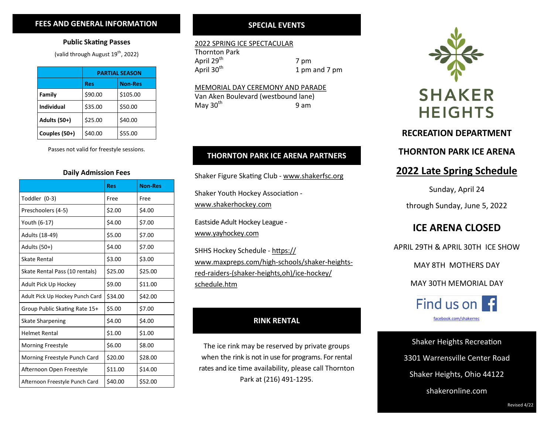#### **FEES AND GENERAL INFORMATION**

#### **Public Skating Passes**

(valid through August  $19^{th}$ , 2022)

|                     | <b>PARTIAL SEASON</b> |                |
|---------------------|-----------------------|----------------|
|                     | <b>Res</b>            | <b>Non-Res</b> |
| Family              | \$90.00               | \$105.00       |
| <b>Individual</b>   | \$35.00               | \$50.00        |
| <b>Adults (50+)</b> | \$25.00               | \$40.00        |
| Couples (50+)       | \$40.00               | \$55.00        |

Passes not valid for freestyle sessions.

#### **Daily Admission Fees**

|                                 | <b>Res</b> | <b>Non-Res</b> |
|---------------------------------|------------|----------------|
| Toddler (0-3)                   | Free       | Free           |
| Preschoolers (4-5)              | \$2.00     | \$4.00         |
| Youth (6-17)                    | \$4.00     | \$7.00         |
| Adults (18-49)                  | \$5.00     | \$7.00         |
| Adults (50+)                    | \$4.00     | \$7.00         |
| <b>Skate Rental</b>             | \$3.00     | \$3.00         |
| Skate Rental Pass (10 rentals)  | \$25.00    | \$25.00        |
| Adult Pick Up Hockey            | \$9.00     | \$11.00        |
| Adult Pick Up Hockey Punch Card | \$34.00    | \$42.00        |
| Group Public Skating Rate 15+   | \$5.00     | \$7.00         |
| <b>Skate Sharpening</b>         | \$4.00     | \$4.00         |
| <b>Helmet Rental</b>            | \$1.00     | \$1.00         |
| <b>Morning Freestyle</b>        | \$6.00     | \$8.00         |
| Morning Freestyle Punch Card    | \$20.00    | \$28.00        |
| Afternoon Open Freestyle        | \$11.00    | \$14.00        |
| Afternoon Freestyle Punch Card  | \$40.00    | \$52.00        |

#### **SPECIAL EVENTS**

#### 2022 SPRING ICE SPECTACULAR

Thornton Park April  $29^{th}$  7 pm<br>April  $30^{th}$  1 pm

1 pm and 7 pm

#### MEMORIAL DAY CEREMONY AND PARADE

Van Aken Boulevard (westbound lane) May  $30<sup>th</sup>$  9 am

#### **THORNTON PARK ICE ARENA PARTNERS**

Shaker Figure Skating Club - [www.shakerfsc.org](http://www.shakerfsc.org/)

Shaker Youth Hockey Association -

[www.shakerhockey.com](http://www.shakerhockey.com/)

Eastside Adult Hockey League www.yayhockey.com

SHHS Hockey Schedule - https:// www.maxpreps.com/high-schools/shaker-heightsred-raiders-(shaker-heights,oh)/ice-hockey/ schedule.htm

#### **RINK RENTAL**

The ice rink may be reserved by private groups when the rink is not in use for programs. For rental rates and ice time availability, please call Thornton Park at (216) 491-1295.



#### **RECREATION DEPARTMENT**

#### **THORNTON PARK ICE ARENA**

### **2022 Late Spring Schedule**

Sunday, April 24

through Sunday, June 5, 2022

### **ICE ARENA CLOSED**

APRIL 29TH & APRIL 30TH ICE SHOW

MAY 8TH MOTHERS DAY

MAY 30TH MEMORIAL DAY



Shaker Heights Recreation 3301 Warrensville Center Road Shaker Heights, Ohio 44122 shakeronline.com